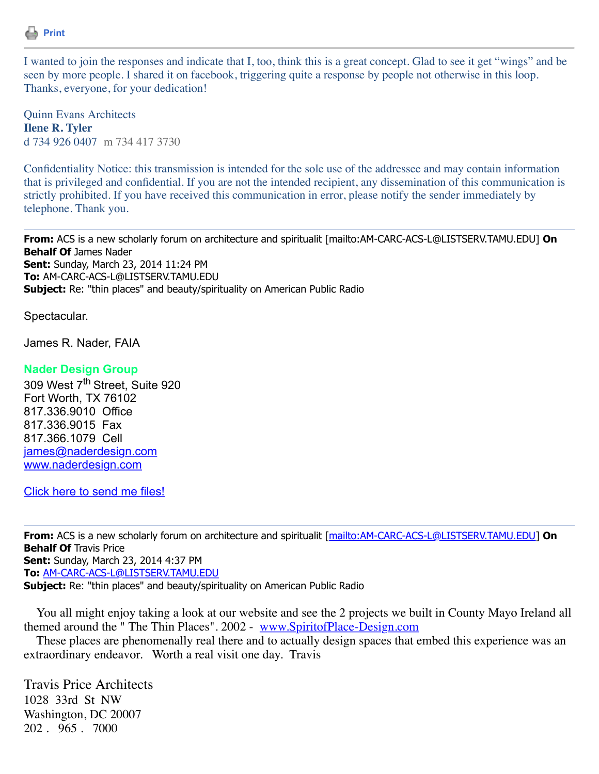

I wanted to join the responses and indicate that I, too, think this is a great concept. Glad to see it get "wings" and be seen by more people. I shared it on facebook, triggering quite a response by people not otherwise in this loop. Thanks, everyone, for your dedication!

Quinn Evans Architects **Ilene R. Tyler** d 734 926 0407 m 734 417 3730

Confidentiality Notice: this transmission is intended for the sole use of the addressee and may contain information that is privileged and confidential. If you are not the intended recipient, any dissemination of this communication is strictly prohibited. If you have received this communication in error, please notify the sender immediately by telephone. Thank you.

**From:** ACS is a new scholarly forum on architecture and spiritualit [mailto:AM-CARC-ACS-L@LISTSERV.TAMU.EDU] **On Behalf Of James Nader Sent:** Sunday, March 23, 2014 11:24 PM **To:** AM-CARC-ACS-L@LISTSERV.TAMU.EDU Subject: Re: "thin places" and beauty/spirituality on American Public Radio

Spectacular.

James R. Nader, FAIA

## **Nader Design Group**

309 West 7<sup>th</sup> Street, Suite 920 Fort Worth, TX 76102 817.336.9010 Office 817.336.9015 Fax 817.366.1079 Cell [james@naderdesign.com](mailto:james@naderdesign.com) [www.naderdesign.com](https://listserv.tamu.edu/cgi-bin/www.naderdesign.com%20)

[Click here to send me files!](https://naderdesign.sharefile.com/r/r3aba4d04fd24563b)

**From:** ACS is a new scholarly forum on architecture and spiritualit [\[mailto:AM-CARC-ACS-L@LISTSERV.TAMU.EDU\]](mailto:AM-CARC-ACS-L@LISTSERV.TAMU.EDU) **On Behalf Of Travis Price Sent:** Sunday, March 23, 2014 4:37 PM **To:** [AM-CARC-ACS-L@LISTSERV.TAMU.EDU](mailto:AM-CARC-ACS-L@LISTSERV.TAMU.EDU) Subject: Re: "thin places" and beauty/spirituality on American Public Radio

 You all might enjoy taking a look at our website and see the 2 projects we built in County Mayo Ireland all themed around the " The Thin Places". 2002 - [www.SpiritofPlace-Design.com](http://www.spiritofplace-design.com/)

 These places are phenomenally real there and to actually design spaces that embed this experience was an extraordinary endeavor. Worth a real visit one day. Travis

Travis Price Architects 1028 33rd St NW Washington, DC 20007 202 . 965 . 7000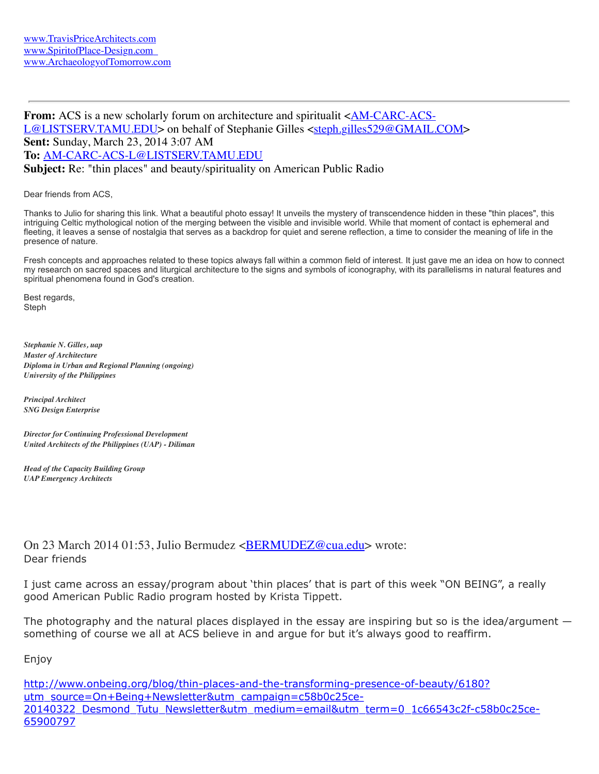**From:** ACS is a new scholarly forum on architecture and spiritualit <AM-CARC-ACS-[L@LISTSERV.TAMU.EDU> on behalf of Stephanie Gilles <steph.gilles529@GMAIL](mailto:AM-CARC-ACS-L@LISTSERV.TAMU.EDU)[.COM>](mailto:steph.gilles529@GMAIL.COM) **Sent:** Sunday, March 23, 2014 3:07 AM **To:** [AM-CARC-ACS-L@LISTSERV.TAMU.EDU](mailto:AM-CARC-ACS-L@LISTSERV.TAMU.EDU) **Subject:** Re: "thin places" and beauty/spirituality on American Public Radio

Dear friends from ACS,

Thanks to Julio for sharing this link. What a beautiful photo essay! It unveils the mystery of transcendence hidden in these "thin places", this intriguing Celtic mythological notion of the merging between the visible and invisible world. While that moment of contact is ephemeral and fleeting, it leaves a sense of nostalgia that serves as a backdrop for quiet and serene reflection, a time to consider the meaning of life in the presence of nature.

Fresh concepts and approaches related to these topics always fall within a common field of interest. It just gave me an idea on how to connect my research on sacred spaces and liturgical architecture to the signs and symbols of iconography, with its parallelisms in natural features and spiritual phenomena found in God's creation.

Best regards, Steph

*Stephanie N. Gilles, uap Master of Architecture Diploma in Urban and Regional Planning (ongoing) University of the Philippines*

*Principal Architect SNG Design Enterprise*

*Director for Continuing Professional Development United Architects of the Philippines (UAP) - Diliman*

*Head of the Capacity Building Group UAP Emergency Architects*

On 23 March 2014 01:53, Julio Bermudez [<BERMUDEZ@cua.edu>](mailto:BERMUDEZ@cua.edu) wrote: Dear friends

I just came across an essay/program about 'thin places' that is part of this week "ON BEING", a really good American Public Radio program hosted by Krista Tippett.

The photography and the natural places displayed in the essay are inspiring but so is the idea/argument  $$ something of course we all at ACS believe in and argue for but it's always good to reaffirm.

Enjoy

http://www.onbeing.org/blog/thin-places-and-the-transforming-presence-of-beauty/6180? utm\_source=On+Being+Newsletter&utm\_campaign=c58b0c25ce-[20140322\\_Desmond\\_Tutu\\_Newsletter&utm\\_medium=email&utm\\_term=0\\_1c66543c2f-c58b0c25ce-](http://www.onbeing.org/blog/thin-places-and-the-transforming-presence-of-beauty/6180?utm_source=On+Being+Newsletter&utm_campaign=c58b0c25ce-20140322_Desmond_Tutu_Newsletter&utm_medium=email&utm_term=0_1c66543c2f-c58b0c25ce-65900797)65900797